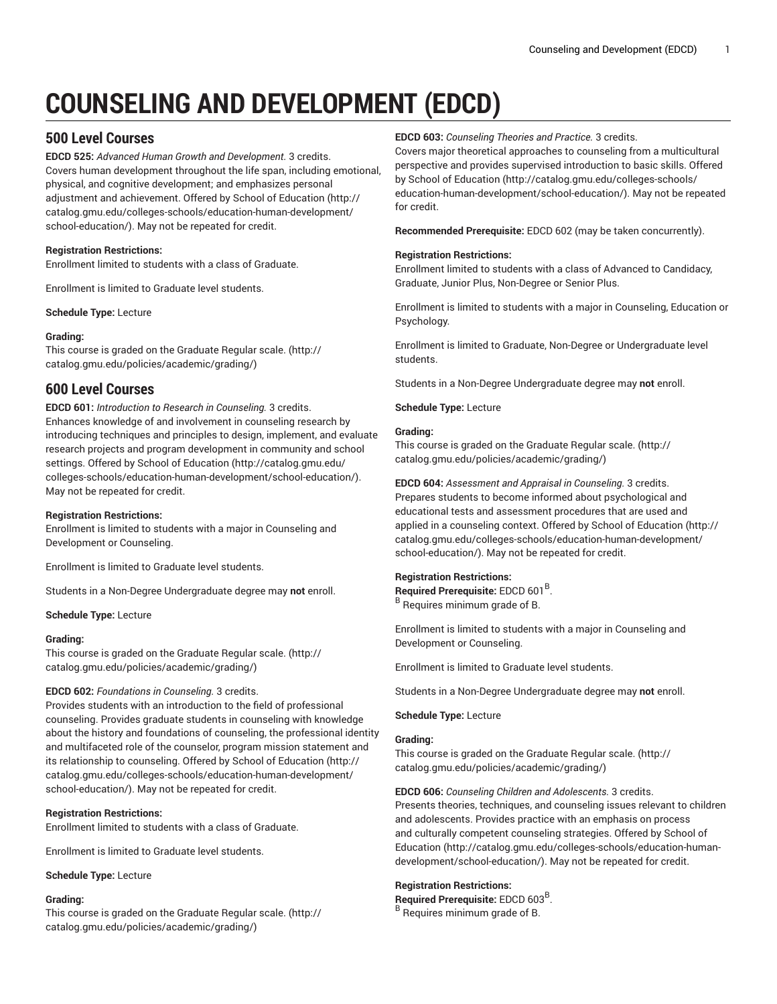# **COUNSELING AND DEVELOPMENT (EDCD)**

# **500 Level Courses**

**EDCD 525:** *Advanced Human Growth and Development.* 3 credits. Covers human development throughout the life span, including emotional, physical, and cognitive development; and emphasizes personal adjustment and achievement. Offered by School of [Education](http://catalog.gmu.edu/colleges-schools/education-human-development/school-education/) ([http://](http://catalog.gmu.edu/colleges-schools/education-human-development/school-education/) [catalog.gmu.edu/colleges-schools/education-human-development/](http://catalog.gmu.edu/colleges-schools/education-human-development/school-education/) [school-education/](http://catalog.gmu.edu/colleges-schools/education-human-development/school-education/)). May not be repeated for credit.

## **Registration Restrictions:**

Enrollment limited to students with a class of Graduate.

Enrollment is limited to Graduate level students.

**Schedule Type:** Lecture

## **Grading:**

This course is graded on the [Graduate Regular scale.](http://catalog.gmu.edu/policies/academic/grading/) [\(http://](http://catalog.gmu.edu/policies/academic/grading/) [catalog.gmu.edu/policies/academic/grading/\)](http://catalog.gmu.edu/policies/academic/grading/)

# **600 Level Courses**

**EDCD 601:** *Introduction to Research in Counseling.* 3 credits. Enhances knowledge of and involvement in counseling research by introducing techniques and principles to design, implement, and evaluate research projects and program development in community and school settings. Offered by School of [Education \(http://catalog.gmu.edu/](http://catalog.gmu.edu/colleges-schools/education-human-development/school-education/) [colleges-schools/education-human-development/school-education/](http://catalog.gmu.edu/colleges-schools/education-human-development/school-education/)). May not be repeated for credit.

## **Registration Restrictions:**

Enrollment is limited to students with a major in Counseling and Development or Counseling.

Enrollment is limited to Graduate level students.

Students in a Non-Degree Undergraduate degree may **not** enroll.

**Schedule Type:** Lecture

## **Grading:**

This course is graded on the [Graduate Regular scale.](http://catalog.gmu.edu/policies/academic/grading/) [\(http://](http://catalog.gmu.edu/policies/academic/grading/) [catalog.gmu.edu/policies/academic/grading/\)](http://catalog.gmu.edu/policies/academic/grading/)

## **EDCD 602:** *Foundations in Counseling.* 3 credits.

Provides students with an introduction to the field of professional counseling. Provides graduate students in counseling with knowledge about the history and foundations of counseling, the professional identity and multifaceted role of the counselor, program mission statement and its relationship to counseling. Offered by School of [Education](http://catalog.gmu.edu/colleges-schools/education-human-development/school-education/) [\(http://](http://catalog.gmu.edu/colleges-schools/education-human-development/school-education/) [catalog.gmu.edu/colleges-schools/education-human-development/](http://catalog.gmu.edu/colleges-schools/education-human-development/school-education/) [school-education/](http://catalog.gmu.edu/colleges-schools/education-human-development/school-education/)). May not be repeated for credit.

## **Registration Restrictions:**

Enrollment limited to students with a class of Graduate.

Enrollment is limited to Graduate level students.

## **Schedule Type:** Lecture

## **Grading:**

This course is graded on the [Graduate Regular scale.](http://catalog.gmu.edu/policies/academic/grading/) [\(http://](http://catalog.gmu.edu/policies/academic/grading/) [catalog.gmu.edu/policies/academic/grading/\)](http://catalog.gmu.edu/policies/academic/grading/)

**EDCD 603:** *Counseling Theories and Practice.* 3 credits.

Covers major theoretical approaches to counseling from a multicultural perspective and provides supervised introduction to basic skills. Offered by School of [Education](http://catalog.gmu.edu/colleges-schools/education-human-development/school-education/) ([http://catalog.gmu.edu/colleges-schools/](http://catalog.gmu.edu/colleges-schools/education-human-development/school-education/) [education-human-development/school-education/\)](http://catalog.gmu.edu/colleges-schools/education-human-development/school-education/). May not be repeated for credit.

**Recommended Prerequisite:** EDCD 602 (may be taken concurrently).

## **Registration Restrictions:**

Enrollment limited to students with a class of Advanced to Candidacy, Graduate, Junior Plus, Non-Degree or Senior Plus.

Enrollment is limited to students with a major in Counseling, Education or Psychology.

Enrollment is limited to Graduate, Non-Degree or Undergraduate level students.

Students in a Non-Degree Undergraduate degree may **not** enroll.

**Schedule Type:** Lecture

## **Grading:**

This course is graded on the [Graduate Regular scale.](http://catalog.gmu.edu/policies/academic/grading/) ([http://](http://catalog.gmu.edu/policies/academic/grading/) [catalog.gmu.edu/policies/academic/grading/](http://catalog.gmu.edu/policies/academic/grading/))

**EDCD 604:** *Assessment and Appraisal in Counseling.* 3 credits. Prepares students to become informed about psychological and educational tests and assessment procedures that are used and applied in a counseling context. Offered by School of [Education](http://catalog.gmu.edu/colleges-schools/education-human-development/school-education/) [\(http://](http://catalog.gmu.edu/colleges-schools/education-human-development/school-education/) [catalog.gmu.edu/colleges-schools/education-human-development/](http://catalog.gmu.edu/colleges-schools/education-human-development/school-education/) [school-education/\)](http://catalog.gmu.edu/colleges-schools/education-human-development/school-education/). May not be repeated for credit.

## **Registration Restrictions:**

Required Prerequisite: EDCD 601<sup>B</sup>. B Requires minimum grade of B.

Enrollment is limited to students with a major in Counseling and Development or Counseling.

Enrollment is limited to Graduate level students.

Students in a Non-Degree Undergraduate degree may **not** enroll.

**Schedule Type:** Lecture

## **Grading:**

This course is graded on the [Graduate Regular scale.](http://catalog.gmu.edu/policies/academic/grading/) ([http://](http://catalog.gmu.edu/policies/academic/grading/) [catalog.gmu.edu/policies/academic/grading/](http://catalog.gmu.edu/policies/academic/grading/))

**EDCD 606:** *Counseling Children and Adolescents.* 3 credits. Presents theories, techniques, and counseling issues relevant to children and adolescents. Provides practice with an emphasis on process and culturally competent counseling strategies. Offered by [School of](http://catalog.gmu.edu/colleges-schools/education-human-development/school-education/) [Education \(http://catalog.gmu.edu/colleges-schools/education-human](http://catalog.gmu.edu/colleges-schools/education-human-development/school-education/)[development/school-education/\)](http://catalog.gmu.edu/colleges-schools/education-human-development/school-education/). May not be repeated for credit.

## **Registration Restrictions:**

Required Prerequisite: EDCD 603<sup>B</sup>.

B Requires minimum grade of B.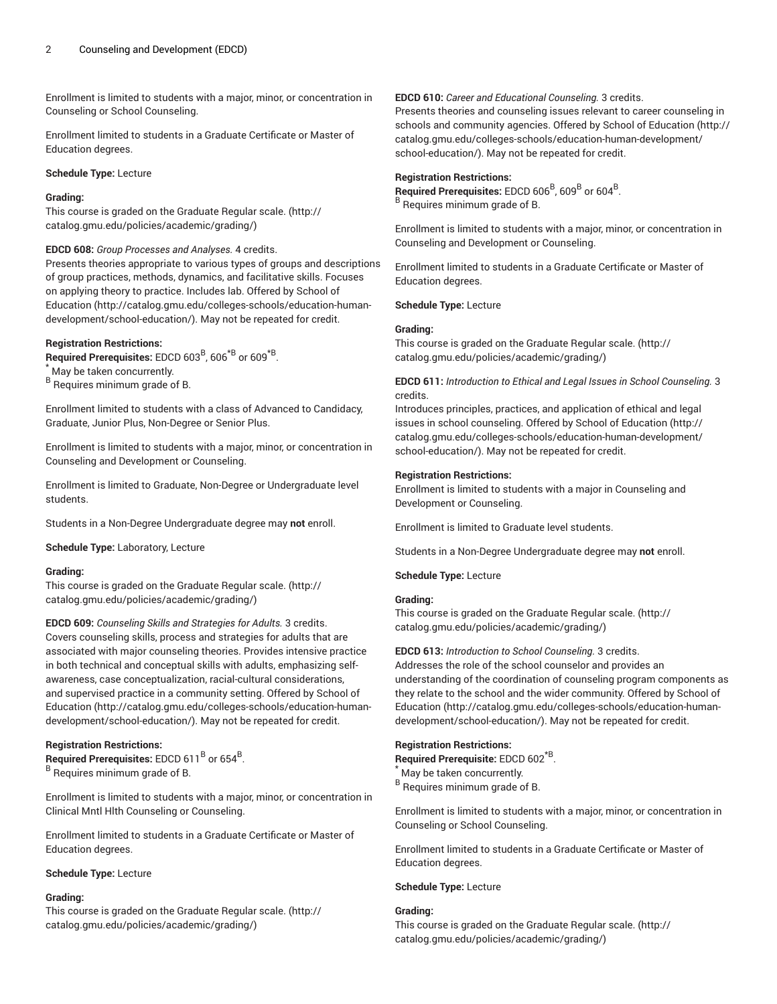Enrollment is limited to students with a major, minor, or concentration in Counseling or School Counseling.

Enrollment limited to students in a Graduate Certificate or Master of Education degrees.

## **Schedule Type:** Lecture

## **Grading:**

This course is graded on the [Graduate Regular scale.](http://catalog.gmu.edu/policies/academic/grading/) [\(http://](http://catalog.gmu.edu/policies/academic/grading/) [catalog.gmu.edu/policies/academic/grading/\)](http://catalog.gmu.edu/policies/academic/grading/)

**EDCD 608:** *Group Processes and Analyses.* 4 credits.

Presents theories appropriate to various types of groups and descriptions of group practices, methods, dynamics, and facilitative skills. Focuses on applying theory to practice. Includes lab. Offered by [School of](http://catalog.gmu.edu/colleges-schools/education-human-development/school-education/) [Education](http://catalog.gmu.edu/colleges-schools/education-human-development/school-education/) ([http://catalog.gmu.edu/colleges-schools/education-human](http://catalog.gmu.edu/colleges-schools/education-human-development/school-education/)[development/school-education/](http://catalog.gmu.edu/colleges-schools/education-human-development/school-education/)). May not be repeated for credit.

## **Registration Restrictions:**

**Required Prerequisites:** EDCD 603<sup>B</sup>, 606<sup>\*B</sup> or 609<sup>\*B</sup>.

\* May be taken concurrently.

<sup>B</sup> Requires minimum grade of B.

Enrollment limited to students with a class of Advanced to Candidacy, Graduate, Junior Plus, Non-Degree or Senior Plus.

Enrollment is limited to students with a major, minor, or concentration in Counseling and Development or Counseling.

Enrollment is limited to Graduate, Non-Degree or Undergraduate level students.

Students in a Non-Degree Undergraduate degree may **not** enroll.

**Schedule Type:** Laboratory, Lecture

#### **Grading:**

This course is graded on the [Graduate Regular scale.](http://catalog.gmu.edu/policies/academic/grading/) [\(http://](http://catalog.gmu.edu/policies/academic/grading/) [catalog.gmu.edu/policies/academic/grading/\)](http://catalog.gmu.edu/policies/academic/grading/)

**EDCD 609:** *Counseling Skills and Strategies for Adults.* 3 credits. Covers counseling skills, process and strategies for adults that are associated with major counseling theories. Provides intensive practice in both technical and conceptual skills with adults, emphasizing selfawareness, case conceptualization, racial-cultural considerations, and supervised practice in a community setting. Offered by [School of](http://catalog.gmu.edu/colleges-schools/education-human-development/school-education/) [Education](http://catalog.gmu.edu/colleges-schools/education-human-development/school-education/) ([http://catalog.gmu.edu/colleges-schools/education-human](http://catalog.gmu.edu/colleges-schools/education-human-development/school-education/)[development/school-education/](http://catalog.gmu.edu/colleges-schools/education-human-development/school-education/)). May not be repeated for credit.

## **Registration Restrictions:**

 $\mathsf{\mathsf{Required}}$  Prerequisites: EDCD 611<sup>B</sup> or 654<sup>B</sup>. <sup>B</sup> Requires minimum grade of B.

Enrollment is limited to students with a major, minor, or concentration in Clinical Mntl Hlth Counseling or Counseling.

Enrollment limited to students in a Graduate Certificate or Master of Education degrees.

#### **Schedule Type:** Lecture

#### **Grading:**

This course is graded on the [Graduate Regular scale.](http://catalog.gmu.edu/policies/academic/grading/) [\(http://](http://catalog.gmu.edu/policies/academic/grading/) [catalog.gmu.edu/policies/academic/grading/\)](http://catalog.gmu.edu/policies/academic/grading/)

**EDCD 610:** *Career and Educational Counseling.* 3 credits.

Presents theories and counseling issues relevant to career counseling in schools and community agencies. Offered by School of [Education \(http://](http://catalog.gmu.edu/colleges-schools/education-human-development/school-education/) [catalog.gmu.edu/colleges-schools/education-human-development/](http://catalog.gmu.edu/colleges-schools/education-human-development/school-education/) [school-education/\)](http://catalog.gmu.edu/colleges-schools/education-human-development/school-education/). May not be repeated for credit.

#### **Registration Restrictions:**

 $\mathsf{Required}$  Prerequisites: EDCD 606 $^{\mathsf{B}},$  609 $^{\mathsf{B}}$  or 604 $^{\mathsf{B}}$ . B Requires minimum grade of B.

Enrollment is limited to students with a major, minor, or concentration in Counseling and Development or Counseling.

Enrollment limited to students in a Graduate Certificate or Master of Education degrees.

**Schedule Type:** Lecture

#### **Grading:**

This course is graded on the [Graduate Regular scale.](http://catalog.gmu.edu/policies/academic/grading/) ([http://](http://catalog.gmu.edu/policies/academic/grading/) [catalog.gmu.edu/policies/academic/grading/](http://catalog.gmu.edu/policies/academic/grading/))

**EDCD 611:** *Introduction to Ethical and Legal Issues in School Counseling.* 3 credits.

Introduces principles, practices, and application of ethical and legal issues in school counseling. Offered by School of [Education](http://catalog.gmu.edu/colleges-schools/education-human-development/school-education/) ([http://](http://catalog.gmu.edu/colleges-schools/education-human-development/school-education/) [catalog.gmu.edu/colleges-schools/education-human-development/](http://catalog.gmu.edu/colleges-schools/education-human-development/school-education/) [school-education/\)](http://catalog.gmu.edu/colleges-schools/education-human-development/school-education/). May not be repeated for credit.

#### **Registration Restrictions:**

Enrollment is limited to students with a major in Counseling and Development or Counseling.

Enrollment is limited to Graduate level students.

Students in a Non-Degree Undergraduate degree may **not** enroll.

**Schedule Type:** Lecture

## **Grading:**

This course is graded on the [Graduate Regular scale.](http://catalog.gmu.edu/policies/academic/grading/) ([http://](http://catalog.gmu.edu/policies/academic/grading/) [catalog.gmu.edu/policies/academic/grading/](http://catalog.gmu.edu/policies/academic/grading/))

**EDCD 613:** *Introduction to School Counseling.* 3 credits.

Addresses the role of the school counselor and provides an understanding of the coordination of counseling program components as they relate to the school and the wider community. Offered by [School of](http://catalog.gmu.edu/colleges-schools/education-human-development/school-education/) [Education \(http://catalog.gmu.edu/colleges-schools/education-human](http://catalog.gmu.edu/colleges-schools/education-human-development/school-education/)[development/school-education/\)](http://catalog.gmu.edu/colleges-schools/education-human-development/school-education/). May not be repeated for credit.

#### **Registration Restrictions:**

**Required Prerequisite:** EDCD 602\*B .

May be taken concurrently.

B Requires minimum grade of B.

Enrollment is limited to students with a major, minor, or concentration in Counseling or School Counseling.

Enrollment limited to students in a Graduate Certificate or Master of Education degrees.

#### **Schedule Type:** Lecture

## **Grading:**

This course is graded on the [Graduate Regular scale.](http://catalog.gmu.edu/policies/academic/grading/) ([http://](http://catalog.gmu.edu/policies/academic/grading/) [catalog.gmu.edu/policies/academic/grading/](http://catalog.gmu.edu/policies/academic/grading/))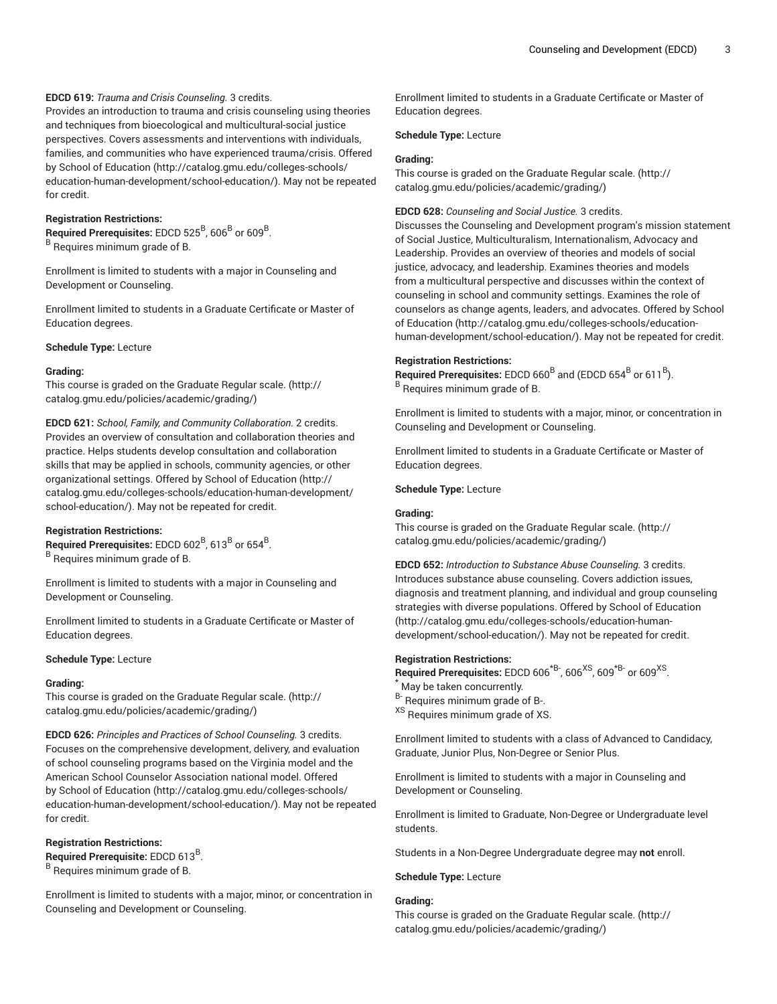## **EDCD 619:** *Trauma and Crisis Counseling.* 3 credits.

Provides an introduction to trauma and crisis counseling using theories and techniques from bioecological and multicultural-social justice perspectives. Covers assessments and interventions with individuals, families, and communities who have experienced trauma/crisis. Offered by School of [Education \(http://catalog.gmu.edu/colleges-schools/](http://catalog.gmu.edu/colleges-schools/education-human-development/school-education/) [education-human-development/school-education/](http://catalog.gmu.edu/colleges-schools/education-human-development/school-education/)). May not be repeated for credit.

## **Registration Restrictions:**

 $\mathsf{Required}$  Prerequisites: EDCD 525 $^{\mathsf{B}},$  606 $^{\mathsf{B}}$  or 609 $^{\mathsf{B}}$ . <sup>B</sup> Requires minimum grade of B.

Enrollment is limited to students with a major in Counseling and Development or Counseling.

Enrollment limited to students in a Graduate Certificate or Master of Education degrees.

#### **Schedule Type:** Lecture

#### **Grading:**

This course is graded on the [Graduate Regular scale.](http://catalog.gmu.edu/policies/academic/grading/) [\(http://](http://catalog.gmu.edu/policies/academic/grading/) [catalog.gmu.edu/policies/academic/grading/\)](http://catalog.gmu.edu/policies/academic/grading/)

**EDCD 621:** *School, Family, and Community Collaboration.* 2 credits. Provides an overview of consultation and collaboration theories and practice. Helps students develop consultation and collaboration skills that may be applied in schools, community agencies, or other organizational settings. Offered by School of [Education](http://catalog.gmu.edu/colleges-schools/education-human-development/school-education/) ([http://](http://catalog.gmu.edu/colleges-schools/education-human-development/school-education/) [catalog.gmu.edu/colleges-schools/education-human-development/](http://catalog.gmu.edu/colleges-schools/education-human-development/school-education/) [school-education/](http://catalog.gmu.edu/colleges-schools/education-human-development/school-education/)). May not be repeated for credit.

#### **Registration Restrictions:**

 $\,$  Required Prerequisites: <code>EDCD</code> 602 $^{\rm B}$ , 613 $^{\rm B}$  or 654 $^{\rm B}$ . <sup>B</sup> Requires minimum grade of B.

Enrollment is limited to students with a major in Counseling and Development or Counseling.

Enrollment limited to students in a Graduate Certificate or Master of Education degrees.

## **Schedule Type:** Lecture

#### **Grading:**

This course is graded on the [Graduate Regular scale.](http://catalog.gmu.edu/policies/academic/grading/) [\(http://](http://catalog.gmu.edu/policies/academic/grading/) [catalog.gmu.edu/policies/academic/grading/\)](http://catalog.gmu.edu/policies/academic/grading/)

**EDCD 626:** *Principles and Practices of School Counseling.* 3 credits. Focuses on the comprehensive development, delivery, and evaluation of school counseling programs based on the Virginia model and the American School Counselor Association national model. Offered by School of [Education \(http://catalog.gmu.edu/colleges-schools/](http://catalog.gmu.edu/colleges-schools/education-human-development/school-education/) [education-human-development/school-education/](http://catalog.gmu.edu/colleges-schools/education-human-development/school-education/)). May not be repeated for credit.

### **Registration Restrictions:**

Required Prerequisite: EDCD 613<sup>B</sup>.

<sup>B</sup> Requires minimum grade of B.

Enrollment is limited to students with a major, minor, or concentration in Counseling and Development or Counseling.

Enrollment limited to students in a Graduate Certificate or Master of Education degrees.

**Schedule Type:** Lecture

#### **Grading:**

This course is graded on the [Graduate Regular scale.](http://catalog.gmu.edu/policies/academic/grading/) ([http://](http://catalog.gmu.edu/policies/academic/grading/) [catalog.gmu.edu/policies/academic/grading/](http://catalog.gmu.edu/policies/academic/grading/))

#### **EDCD 628:** *Counseling and Social Justice.* 3 credits.

Discusses the Counseling and Development program's mission statement of Social Justice, Multiculturalism, Internationalism, Advocacy and Leadership. Provides an overview of theories and models of social justice, advocacy, and leadership. Examines theories and models from a multicultural perspective and discusses within the context of counseling in school and community settings. Examines the role of counselors as change agents, leaders, and advocates. Offered by [School](http://catalog.gmu.edu/colleges-schools/education-human-development/school-education/) of [Education \(http://catalog.gmu.edu/colleges-schools/education](http://catalog.gmu.edu/colleges-schools/education-human-development/school-education/)[human-development/school-education/\)](http://catalog.gmu.edu/colleges-schools/education-human-development/school-education/). May not be repeated for credit.

## **Registration Restrictions:**

Required Prerequisites: EDCD 660<sup>B</sup> and (EDCD 654<sup>B</sup> or 611<sup>B</sup>). B Requires minimum grade of B.

Enrollment is limited to students with a major, minor, or concentration in Counseling and Development or Counseling.

Enrollment limited to students in a Graduate Certificate or Master of Education degrees.

**Schedule Type:** Lecture

### **Grading:**

This course is graded on the [Graduate Regular scale.](http://catalog.gmu.edu/policies/academic/grading/) ([http://](http://catalog.gmu.edu/policies/academic/grading/) [catalog.gmu.edu/policies/academic/grading/](http://catalog.gmu.edu/policies/academic/grading/))

**EDCD 652:** *Introduction to Substance Abuse Counseling.* 3 credits. Introduces substance abuse counseling. Covers addiction issues, diagnosis and treatment planning, and individual and group counseling strategies with diverse populations. Offered by School of [Education](http://catalog.gmu.edu/colleges-schools/education-human-development/school-education/) [\(http://catalog.gmu.edu/colleges-schools/education-human](http://catalog.gmu.edu/colleges-schools/education-human-development/school-education/)[development/school-education/\)](http://catalog.gmu.edu/colleges-schools/education-human-development/school-education/). May not be repeated for credit.

#### **Registration Restrictions:**

Required Prerequisites: EDCD 606<sup>\*B-</sup>, 606<sup>XS</sup>, 609<sup>\*B-</sup> or 609<sup>XS</sup>.

- \* May be taken concurrently.
- B- Requires minimum grade of B-.

<sup>XS</sup> Requires minimum grade of XS.

Enrollment limited to students with a class of Advanced to Candidacy, Graduate, Junior Plus, Non-Degree or Senior Plus.

Enrollment is limited to students with a major in Counseling and Development or Counseling.

Enrollment is limited to Graduate, Non-Degree or Undergraduate level students.

Students in a Non-Degree Undergraduate degree may **not** enroll.

## **Schedule Type:** Lecture

#### **Grading:**

This course is graded on the [Graduate Regular scale.](http://catalog.gmu.edu/policies/academic/grading/) ([http://](http://catalog.gmu.edu/policies/academic/grading/) [catalog.gmu.edu/policies/academic/grading/](http://catalog.gmu.edu/policies/academic/grading/))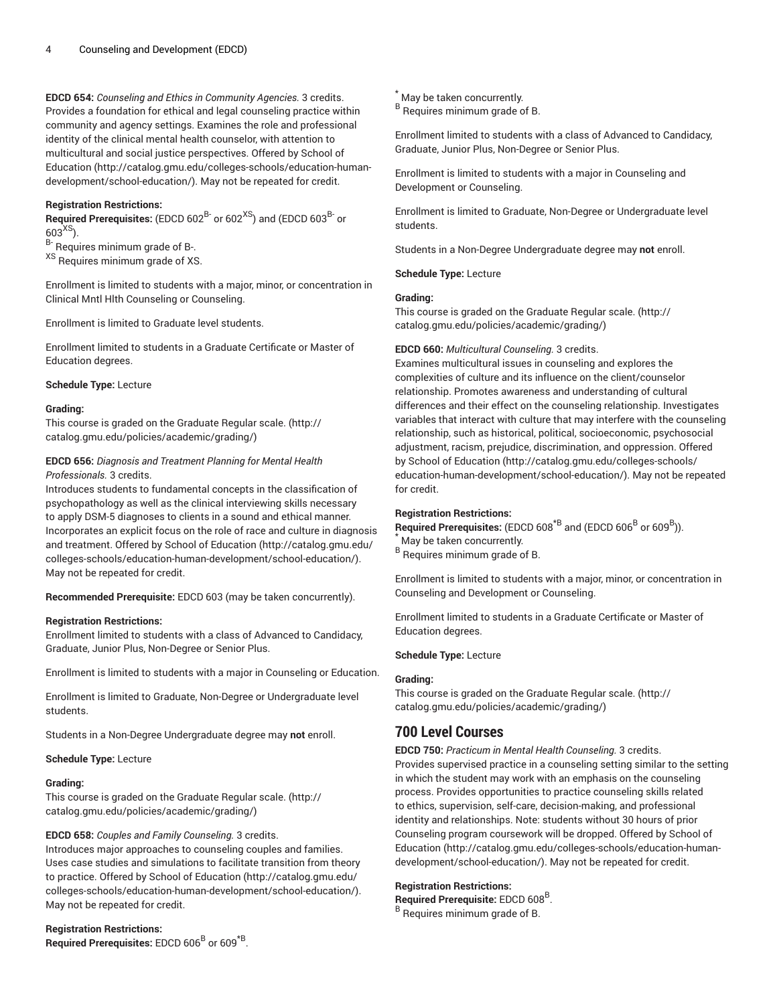**EDCD 654:** *Counseling and Ethics in Community Agencies.* 3 credits. Provides a foundation for ethical and legal counseling practice within community and agency settings. Examines the role and professional identity of the clinical mental health counselor, with attention to multicultural and social justice perspectives. Offered by [School of](http://catalog.gmu.edu/colleges-schools/education-human-development/school-education/) [Education](http://catalog.gmu.edu/colleges-schools/education-human-development/school-education/) ([http://catalog.gmu.edu/colleges-schools/education-human](http://catalog.gmu.edu/colleges-schools/education-human-development/school-education/)[development/school-education/](http://catalog.gmu.edu/colleges-schools/education-human-development/school-education/)). May not be repeated for credit.

## **Registration Restrictions:**

**Required Prerequisites:** (EDCD 602<sup>B-</sup> or 602<sup>XS</sup>) and (EDCD 603<sup>B-</sup> or  $603^{XS}$ ).

B- Requires minimum grade of B-.

XS Requires minimum grade of XS.

Enrollment is limited to students with a major, minor, or concentration in Clinical Mntl Hlth Counseling or Counseling.

Enrollment is limited to Graduate level students.

Enrollment limited to students in a Graduate Certificate or Master of Education degrees.

## **Schedule Type:** Lecture

## **Grading:**

This course is graded on the [Graduate Regular scale.](http://catalog.gmu.edu/policies/academic/grading/) [\(http://](http://catalog.gmu.edu/policies/academic/grading/) [catalog.gmu.edu/policies/academic/grading/\)](http://catalog.gmu.edu/policies/academic/grading/)

## **EDCD 656:** *Diagnosis and Treatment Planning for Mental Health Professionals.* 3 credits.

Introduces students to fundamental concepts in the classification of psychopathology as well as the clinical interviewing skills necessary to apply DSM-5 diagnoses to clients in a sound and ethical manner. Incorporates an explicit focus on the role of race and culture in diagnosis and treatment. Offered by School of [Education](http://catalog.gmu.edu/colleges-schools/education-human-development/school-education/) ([http://catalog.gmu.edu/](http://catalog.gmu.edu/colleges-schools/education-human-development/school-education/) [colleges-schools/education-human-development/school-education/](http://catalog.gmu.edu/colleges-schools/education-human-development/school-education/)). May not be repeated for credit.

**Recommended Prerequisite:** EDCD 603 (may be taken concurrently).

## **Registration Restrictions:**

Enrollment limited to students with a class of Advanced to Candidacy, Graduate, Junior Plus, Non-Degree or Senior Plus.

Enrollment is limited to students with a major in Counseling or Education.

Enrollment is limited to Graduate, Non-Degree or Undergraduate level students.

Students in a Non-Degree Undergraduate degree may **not** enroll.

## **Schedule Type:** Lecture

## **Grading:**

This course is graded on the [Graduate Regular scale.](http://catalog.gmu.edu/policies/academic/grading/) [\(http://](http://catalog.gmu.edu/policies/academic/grading/) [catalog.gmu.edu/policies/academic/grading/\)](http://catalog.gmu.edu/policies/academic/grading/)

## **EDCD 658:** *Couples and Family Counseling.* 3 credits.

Introduces major approaches to counseling couples and families. Uses case studies and simulations to facilitate transition from theory to practice. Offered by School of [Education](http://catalog.gmu.edu/colleges-schools/education-human-development/school-education/) ([http://catalog.gmu.edu/](http://catalog.gmu.edu/colleges-schools/education-human-development/school-education/) [colleges-schools/education-human-development/school-education/](http://catalog.gmu.edu/colleges-schools/education-human-development/school-education/)). May not be repeated for credit.

## **Registration Restrictions:**

**Required Prerequisites:** EDCD 606<sup>B</sup> or 609<sup>\*B</sup>.

# \* May be taken concurrently.

B Requires minimum grade of B.

Enrollment limited to students with a class of Advanced to Candidacy, Graduate, Junior Plus, Non-Degree or Senior Plus.

Enrollment is limited to students with a major in Counseling and Development or Counseling.

Enrollment is limited to Graduate, Non-Degree or Undergraduate level students.

Students in a Non-Degree Undergraduate degree may **not** enroll.

## **Schedule Type:** Lecture

## **Grading:**

This course is graded on the [Graduate Regular scale.](http://catalog.gmu.edu/policies/academic/grading/) ([http://](http://catalog.gmu.edu/policies/academic/grading/) [catalog.gmu.edu/policies/academic/grading/](http://catalog.gmu.edu/policies/academic/grading/))

## **EDCD 660:** *Multicultural Counseling.* 3 credits.

Examines multicultural issues in counseling and explores the complexities of culture and its influence on the client/counselor relationship. Promotes awareness and understanding of cultural differences and their effect on the counseling relationship. Investigates variables that interact with culture that may interfere with the counseling relationship, such as historical, political, socioeconomic, psychosocial adjustment, racism, prejudice, discrimination, and oppression. Offered by School of [Education](http://catalog.gmu.edu/colleges-schools/education-human-development/school-education/) ([http://catalog.gmu.edu/colleges-schools/](http://catalog.gmu.edu/colleges-schools/education-human-development/school-education/) [education-human-development/school-education/\)](http://catalog.gmu.edu/colleges-schools/education-human-development/school-education/). May not be repeated for credit.

## **Registration Restrictions:**

 $\mathsf{Required\ Pre requires:}$  (EDCD 608<sup>\*B</sup> and (EDCD 606<sup>B</sup> or 609<sup>B</sup>)).

May be taken concurrently.

B Requires minimum grade of B.

Enrollment is limited to students with a major, minor, or concentration in Counseling and Development or Counseling.

Enrollment limited to students in a Graduate Certificate or Master of Education degrees.

## **Schedule Type:** Lecture

## **Grading:**

This course is graded on the [Graduate Regular scale.](http://catalog.gmu.edu/policies/academic/grading/) ([http://](http://catalog.gmu.edu/policies/academic/grading/) [catalog.gmu.edu/policies/academic/grading/](http://catalog.gmu.edu/policies/academic/grading/))

# **700 Level Courses**

**EDCD 750:** *Practicum in Mental Health Counseling.* 3 credits. Provides supervised practice in a counseling setting similar to the setting in which the student may work with an emphasis on the counseling process. Provides opportunities to practice counseling skills related to ethics, supervision, self-care, decision-making, and professional identity and relationships. Note: students without 30 hours of prior Counseling program coursework will be dropped. Offered by [School of](http://catalog.gmu.edu/colleges-schools/education-human-development/school-education/) [Education \(http://catalog.gmu.edu/colleges-schools/education-human](http://catalog.gmu.edu/colleges-schools/education-human-development/school-education/)[development/school-education/\)](http://catalog.gmu.edu/colleges-schools/education-human-development/school-education/). May not be repeated for credit.

## **Registration Restrictions:**

Required Prerequisite: EDCD 608<sup>B</sup>.

B Requires minimum grade of B.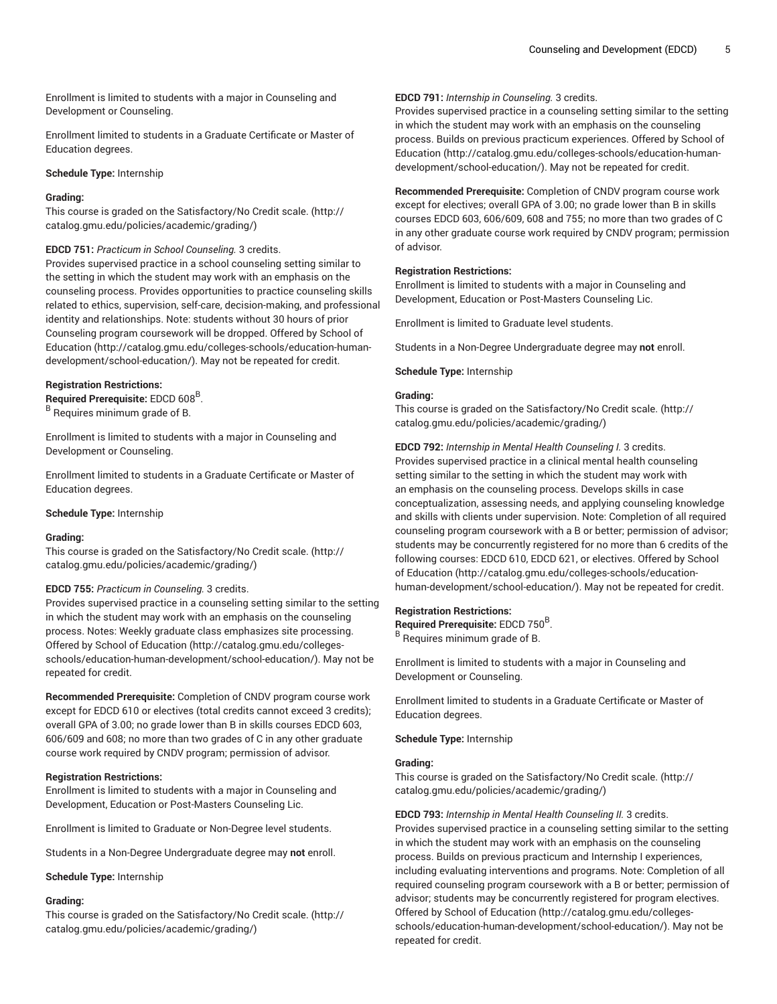Enrollment is limited to students with a major in Counseling and Development or Counseling.

Enrollment limited to students in a Graduate Certificate or Master of Education degrees.

**Schedule Type:** Internship

#### **Grading:**

This course is graded on the [Satisfactory/No](http://catalog.gmu.edu/policies/academic/grading/) Credit scale. ([http://](http://catalog.gmu.edu/policies/academic/grading/) [catalog.gmu.edu/policies/academic/grading/\)](http://catalog.gmu.edu/policies/academic/grading/)

#### **EDCD 751:** *Practicum in School Counseling.* 3 credits.

Provides supervised practice in a school counseling setting similar to the setting in which the student may work with an emphasis on the counseling process. Provides opportunities to practice counseling skills related to ethics, supervision, self-care, decision-making, and professional identity and relationships. Note: students without 30 hours of prior Counseling program coursework will be dropped. Offered by [School of](http://catalog.gmu.edu/colleges-schools/education-human-development/school-education/) [Education](http://catalog.gmu.edu/colleges-schools/education-human-development/school-education/) ([http://catalog.gmu.edu/colleges-schools/education-human](http://catalog.gmu.edu/colleges-schools/education-human-development/school-education/)[development/school-education/](http://catalog.gmu.edu/colleges-schools/education-human-development/school-education/)). May not be repeated for credit.

## **Registration Restrictions:**

**Required Prerequisite:** EDCD 608<sup>B</sup> . B Requires minimum grade of B.

Enrollment is limited to students with a major in Counseling and Development or Counseling.

Enrollment limited to students in a Graduate Certificate or Master of Education degrees.

**Schedule Type:** Internship

#### **Grading:**

This course is graded on the [Satisfactory/No](http://catalog.gmu.edu/policies/academic/grading/) Credit scale. ([http://](http://catalog.gmu.edu/policies/academic/grading/) [catalog.gmu.edu/policies/academic/grading/\)](http://catalog.gmu.edu/policies/academic/grading/)

## **EDCD 755:** *Practicum in Counseling.* 3 credits.

Provides supervised practice in a counseling setting similar to the setting in which the student may work with an emphasis on the counseling process. Notes: Weekly graduate class emphasizes site processing. Offered by School of [Education](http://catalog.gmu.edu/colleges-schools/education-human-development/school-education/) ([http://catalog.gmu.edu/colleges](http://catalog.gmu.edu/colleges-schools/education-human-development/school-education/)[schools/education-human-development/school-education/\)](http://catalog.gmu.edu/colleges-schools/education-human-development/school-education/). May not be repeated for credit.

**Recommended Prerequisite:** Completion of CNDV program course work except for EDCD 610 or electives (total credits cannot exceed 3 credits); overall GPA of 3.00; no grade lower than B in skills courses EDCD 603, 606/609 and 608; no more than two grades of C in any other graduate course work required by CNDV program; permission of advisor.

#### **Registration Restrictions:**

Enrollment is limited to students with a major in Counseling and Development, Education or Post-Masters Counseling Lic.

Enrollment is limited to Graduate or Non-Degree level students.

Students in a Non-Degree Undergraduate degree may **not** enroll.

#### **Schedule Type:** Internship

#### **Grading:**

This course is graded on the [Satisfactory/No](http://catalog.gmu.edu/policies/academic/grading/) Credit scale. ([http://](http://catalog.gmu.edu/policies/academic/grading/) [catalog.gmu.edu/policies/academic/grading/\)](http://catalog.gmu.edu/policies/academic/grading/)

## **EDCD 791:** *Internship in Counseling.* 3 credits.

Provides supervised practice in a counseling setting similar to the setting in which the student may work with an emphasis on the counseling process. Builds on previous practicum experiences. Offered by [School of](http://catalog.gmu.edu/colleges-schools/education-human-development/school-education/) [Education \(http://catalog.gmu.edu/colleges-schools/education-human](http://catalog.gmu.edu/colleges-schools/education-human-development/school-education/)[development/school-education/\)](http://catalog.gmu.edu/colleges-schools/education-human-development/school-education/). May not be repeated for credit.

**Recommended Prerequisite:** Completion of CNDV program course work except for electives; overall GPA of 3.00; no grade lower than B in skills courses EDCD 603, 606/609, 608 and 755; no more than two grades of C in any other graduate course work required by CNDV program; permission of advisor.

#### **Registration Restrictions:**

Enrollment is limited to students with a major in Counseling and Development, Education or Post-Masters Counseling Lic.

Enrollment is limited to Graduate level students.

Students in a Non-Degree Undergraduate degree may **not** enroll.

**Schedule Type:** Internship

## **Grading:**

This course is graded on the [Satisfactory/No](http://catalog.gmu.edu/policies/academic/grading/) Credit scale. [\(http://](http://catalog.gmu.edu/policies/academic/grading/) [catalog.gmu.edu/policies/academic/grading/](http://catalog.gmu.edu/policies/academic/grading/))

**EDCD 792:** *Internship in Mental Health Counseling I.* 3 credits. Provides supervised practice in a clinical mental health counseling setting similar to the setting in which the student may work with an emphasis on the counseling process. Develops skills in case conceptualization, assessing needs, and applying counseling knowledge and skills with clients under supervision. Note: Completion of all required counseling program coursework with a B or better; permission of advisor; students may be concurrently registered for no more than 6 credits of the following courses: EDCD 610, EDCD 621, or electives. Offered by [School](http://catalog.gmu.edu/colleges-schools/education-human-development/school-education/) of [Education \(http://catalog.gmu.edu/colleges-schools/education](http://catalog.gmu.edu/colleges-schools/education-human-development/school-education/)[human-development/school-education/\)](http://catalog.gmu.edu/colleges-schools/education-human-development/school-education/). May not be repeated for credit.

#### **Registration Restrictions:**

Required Prerequisite: EDCD 750<sup>B</sup>. B Requires minimum grade of B.

Enrollment is limited to students with a major in Counseling and Development or Counseling.

Enrollment limited to students in a Graduate Certificate or Master of Education degrees.

**Schedule Type:** Internship

### **Grading:**

This course is graded on the [Satisfactory/No](http://catalog.gmu.edu/policies/academic/grading/) Credit scale. [\(http://](http://catalog.gmu.edu/policies/academic/grading/) [catalog.gmu.edu/policies/academic/grading/](http://catalog.gmu.edu/policies/academic/grading/))

**EDCD 793:** *Internship in Mental Health Counseling II.* 3 credits. Provides supervised practice in a counseling setting similar to the setting in which the student may work with an emphasis on the counseling process. Builds on previous practicum and Internship I experiences, including evaluating interventions and programs. Note: Completion of all required counseling program coursework with a B or better; permission of advisor; students may be concurrently registered for program electives. Offered by School of [Education \(http://catalog.gmu.edu/colleges](http://catalog.gmu.edu/colleges-schools/education-human-development/school-education/)[schools/education-human-development/school-education/](http://catalog.gmu.edu/colleges-schools/education-human-development/school-education/)). May not be repeated for credit.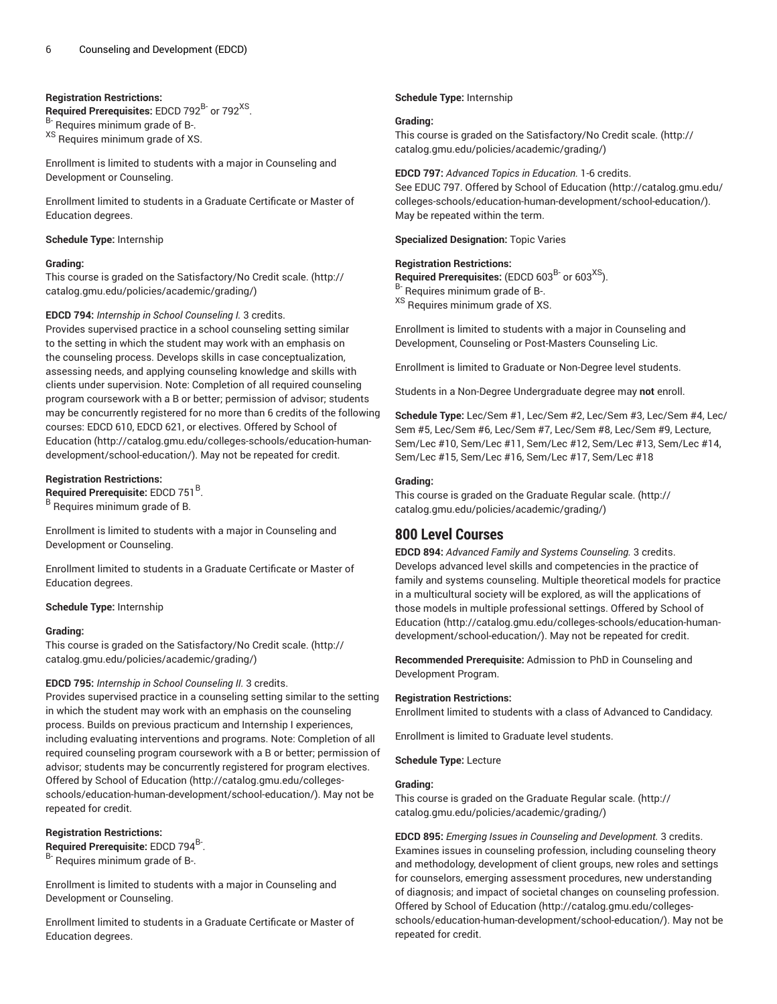## **Registration Restrictions:**

Required Prerequisites: EDCD 792<sup>B-</sup> or 792<sup>XS</sup>. B- Requires minimum grade of B-. XS Requires minimum grade of XS.

Enrollment is limited to students with a major in Counseling and Development or Counseling.

Enrollment limited to students in a Graduate Certificate or Master of Education degrees.

#### **Schedule Type:** Internship

#### **Grading:**

This course is graded on the [Satisfactory/No](http://catalog.gmu.edu/policies/academic/grading/) Credit scale. ([http://](http://catalog.gmu.edu/policies/academic/grading/) [catalog.gmu.edu/policies/academic/grading/\)](http://catalog.gmu.edu/policies/academic/grading/)

## **EDCD 794:** *Internship in School Counseling I.* 3 credits.

Provides supervised practice in a school counseling setting similar to the setting in which the student may work with an emphasis on the counseling process. Develops skills in case conceptualization, assessing needs, and applying counseling knowledge and skills with clients under supervision. Note: Completion of all required counseling program coursework with a B or better; permission of advisor; students may be concurrently registered for no more than 6 credits of the following courses: EDCD 610, EDCD 621, or electives. Offered by [School of](http://catalog.gmu.edu/colleges-schools/education-human-development/school-education/) [Education](http://catalog.gmu.edu/colleges-schools/education-human-development/school-education/) ([http://catalog.gmu.edu/colleges-schools/education-human](http://catalog.gmu.edu/colleges-schools/education-human-development/school-education/)[development/school-education/](http://catalog.gmu.edu/colleges-schools/education-human-development/school-education/)). May not be repeated for credit.

## **Registration Restrictions:**

Required Prerequisite: EDCD 751<sup>B</sup>.

<sup>B</sup> Requires minimum grade of B.

Enrollment is limited to students with a major in Counseling and Development or Counseling.

Enrollment limited to students in a Graduate Certificate or Master of Education degrees.

#### **Schedule Type:** Internship

#### **Grading:**

This course is graded on the [Satisfactory/No](http://catalog.gmu.edu/policies/academic/grading/) Credit scale. ([http://](http://catalog.gmu.edu/policies/academic/grading/) [catalog.gmu.edu/policies/academic/grading/\)](http://catalog.gmu.edu/policies/academic/grading/)

## **EDCD 795:** *Internship in School Counseling II.* 3 credits.

Provides supervised practice in a counseling setting similar to the setting in which the student may work with an emphasis on the counseling process. Builds on previous practicum and Internship I experiences, including evaluating interventions and programs. Note: Completion of all required counseling program coursework with a B or better; permission of advisor; students may be concurrently registered for program electives. Offered by School of [Education](http://catalog.gmu.edu/colleges-schools/education-human-development/school-education/) ([http://catalog.gmu.edu/colleges](http://catalog.gmu.edu/colleges-schools/education-human-development/school-education/)[schools/education-human-development/school-education/\)](http://catalog.gmu.edu/colleges-schools/education-human-development/school-education/). May not be repeated for credit.

## **Registration Restrictions:**

Required Prerequisite: EDCD 794<sup>B-</sup>.

B- Requires minimum grade of B-.

Enrollment is limited to students with a major in Counseling and Development or Counseling.

Enrollment limited to students in a Graduate Certificate or Master of Education degrees.

### **Schedule Type:** Internship

#### **Grading:**

This course is graded on the [Satisfactory/No](http://catalog.gmu.edu/policies/academic/grading/) Credit scale. [\(http://](http://catalog.gmu.edu/policies/academic/grading/) [catalog.gmu.edu/policies/academic/grading/](http://catalog.gmu.edu/policies/academic/grading/))

#### **EDCD 797:** *Advanced Topics in Education.* 1-6 credits.

See EDUC 797. Offered by School of [Education](http://catalog.gmu.edu/colleges-schools/education-human-development/school-education/) ([http://catalog.gmu.edu/](http://catalog.gmu.edu/colleges-schools/education-human-development/school-education/) [colleges-schools/education-human-development/school-education/](http://catalog.gmu.edu/colleges-schools/education-human-development/school-education/)). May be repeated within the term.

**Specialized Designation:** Topic Varies

#### **Registration Restrictions:**

**Required Prerequisites:** (EDCD 603<sup>B-</sup> or 603<sup>XS</sup>). B- Requires minimum grade of B-. <sup>XS</sup> Requires minimum grade of XS.

Enrollment is limited to students with a major in Counseling and Development, Counseling or Post-Masters Counseling Lic.

Enrollment is limited to Graduate or Non-Degree level students.

Students in a Non-Degree Undergraduate degree may **not** enroll.

**Schedule Type:** Lec/Sem #1, Lec/Sem #2, Lec/Sem #3, Lec/Sem #4, Lec/ Sem #5, Lec/Sem #6, Lec/Sem #7, Lec/Sem #8, Lec/Sem #9, Lecture, Sem/Lec #10, Sem/Lec #11, Sem/Lec #12, Sem/Lec #13, Sem/Lec #14, Sem/Lec #15, Sem/Lec #16, Sem/Lec #17, Sem/Lec #18

### **Grading:**

This course is graded on the [Graduate Regular scale.](http://catalog.gmu.edu/policies/academic/grading/) ([http://](http://catalog.gmu.edu/policies/academic/grading/) [catalog.gmu.edu/policies/academic/grading/](http://catalog.gmu.edu/policies/academic/grading/))

## **800 Level Courses**

**EDCD 894:** *Advanced Family and Systems Counseling.* 3 credits. Develops advanced level skills and competencies in the practice of family and systems counseling. Multiple theoretical models for practice in a multicultural society will be explored, as will the applications of those models in multiple professional settings. Offered by [School of](http://catalog.gmu.edu/colleges-schools/education-human-development/school-education/) [Education \(http://catalog.gmu.edu/colleges-schools/education-human](http://catalog.gmu.edu/colleges-schools/education-human-development/school-education/)[development/school-education/\)](http://catalog.gmu.edu/colleges-schools/education-human-development/school-education/). May not be repeated for credit.

**Recommended Prerequisite:** Admission to PhD in Counseling and Development Program.

## **Registration Restrictions:**

Enrollment limited to students with a class of Advanced to Candidacy.

Enrollment is limited to Graduate level students.

**Schedule Type:** Lecture

## **Grading:**

This course is graded on the [Graduate Regular scale.](http://catalog.gmu.edu/policies/academic/grading/) ([http://](http://catalog.gmu.edu/policies/academic/grading/) [catalog.gmu.edu/policies/academic/grading/](http://catalog.gmu.edu/policies/academic/grading/))

**EDCD 895:** *Emerging Issues in Counseling and Development.* 3 credits. Examines issues in counseling profession, including counseling theory and methodology, development of client groups, new roles and settings for counselors, emerging assessment procedures, new understanding of diagnosis; and impact of societal changes on counseling profession. Offered by School of [Education \(http://catalog.gmu.edu/colleges](http://catalog.gmu.edu/colleges-schools/education-human-development/school-education/)[schools/education-human-development/school-education/](http://catalog.gmu.edu/colleges-schools/education-human-development/school-education/)). May not be repeated for credit.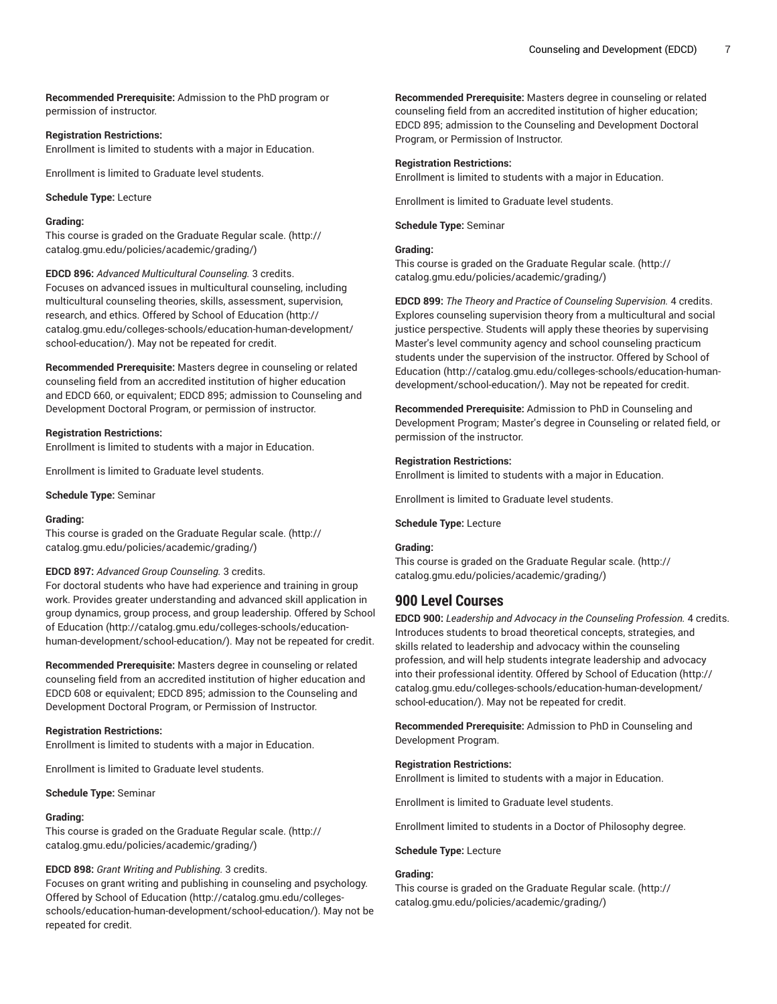**Recommended Prerequisite:** Admission to the PhD program or permission of instructor.

#### **Registration Restrictions:**

Enrollment is limited to students with a major in Education.

Enrollment is limited to Graduate level students.

**Schedule Type:** Lecture

## **Grading:**

This course is graded on the [Graduate Regular scale.](http://catalog.gmu.edu/policies/academic/grading/) [\(http://](http://catalog.gmu.edu/policies/academic/grading/) [catalog.gmu.edu/policies/academic/grading/\)](http://catalog.gmu.edu/policies/academic/grading/)

**EDCD 896:** *Advanced Multicultural Counseling.* 3 credits.

Focuses on advanced issues in multicultural counseling, including multicultural counseling theories, skills, assessment, supervision, research, and ethics. Offered by School of [Education \(http://](http://catalog.gmu.edu/colleges-schools/education-human-development/school-education/) [catalog.gmu.edu/colleges-schools/education-human-development/](http://catalog.gmu.edu/colleges-schools/education-human-development/school-education/) [school-education/](http://catalog.gmu.edu/colleges-schools/education-human-development/school-education/)). May not be repeated for credit.

**Recommended Prerequisite:** Masters degree in counseling or related counseling field from an accredited institution of higher education and EDCD 660, or equivalent; EDCD 895; admission to Counseling and Development Doctoral Program, or permission of instructor.

#### **Registration Restrictions:**

Enrollment is limited to students with a major in Education.

Enrollment is limited to Graduate level students.

**Schedule Type:** Seminar

#### **Grading:**

This course is graded on the [Graduate Regular scale.](http://catalog.gmu.edu/policies/academic/grading/) [\(http://](http://catalog.gmu.edu/policies/academic/grading/) [catalog.gmu.edu/policies/academic/grading/\)](http://catalog.gmu.edu/policies/academic/grading/)

#### **EDCD 897:** *Advanced Group Counseling.* 3 credits.

For doctoral students who have had experience and training in group work. Provides greater understanding and advanced skill application in group dynamics, group process, and group leadership. Offered by [School](http://catalog.gmu.edu/colleges-schools/education-human-development/school-education/) of [Education](http://catalog.gmu.edu/colleges-schools/education-human-development/school-education/) [\(http://catalog.gmu.edu/colleges-schools/education](http://catalog.gmu.edu/colleges-schools/education-human-development/school-education/)[human-development/school-education/](http://catalog.gmu.edu/colleges-schools/education-human-development/school-education/)). May not be repeated for credit.

**Recommended Prerequisite:** Masters degree in counseling or related counseling field from an accredited institution of higher education and EDCD 608 or equivalent; EDCD 895; admission to the Counseling and Development Doctoral Program, or Permission of Instructor.

#### **Registration Restrictions:**

Enrollment is limited to students with a major in Education.

Enrollment is limited to Graduate level students.

#### **Schedule Type:** Seminar

#### **Grading:**

This course is graded on the [Graduate Regular scale.](http://catalog.gmu.edu/policies/academic/grading/) [\(http://](http://catalog.gmu.edu/policies/academic/grading/) [catalog.gmu.edu/policies/academic/grading/\)](http://catalog.gmu.edu/policies/academic/grading/)

#### **EDCD 898:** *Grant Writing and Publishing.* 3 credits.

Focuses on grant writing and publishing in counseling and psychology. Offered by School of [Education](http://catalog.gmu.edu/colleges-schools/education-human-development/school-education/) ([http://catalog.gmu.edu/colleges](http://catalog.gmu.edu/colleges-schools/education-human-development/school-education/)[schools/education-human-development/school-education/\)](http://catalog.gmu.edu/colleges-schools/education-human-development/school-education/). May not be repeated for credit.

**Recommended Prerequisite:** Masters degree in counseling or related counseling field from an accredited institution of higher education; EDCD 895; admission to the Counseling and Development Doctoral Program, or Permission of Instructor.

#### **Registration Restrictions:**

Enrollment is limited to students with a major in Education.

Enrollment is limited to Graduate level students.

**Schedule Type:** Seminar

## **Grading:**

This course is graded on the [Graduate Regular scale.](http://catalog.gmu.edu/policies/academic/grading/) ([http://](http://catalog.gmu.edu/policies/academic/grading/) [catalog.gmu.edu/policies/academic/grading/](http://catalog.gmu.edu/policies/academic/grading/))

**EDCD 899:** *The Theory and Practice of Counseling Supervision.* 4 credits. Explores counseling supervision theory from a multicultural and social justice perspective. Students will apply these theories by supervising Master's level community agency and school counseling practicum students under the supervision of the instructor. Offered by [School of](http://catalog.gmu.edu/colleges-schools/education-human-development/school-education/) [Education \(http://catalog.gmu.edu/colleges-schools/education-human](http://catalog.gmu.edu/colleges-schools/education-human-development/school-education/)[development/school-education/\)](http://catalog.gmu.edu/colleges-schools/education-human-development/school-education/). May not be repeated for credit.

**Recommended Prerequisite:** Admission to PhD in Counseling and Development Program; Master's degree in Counseling or related field, or permission of the instructor.

## **Registration Restrictions:**

Enrollment is limited to students with a major in Education.

Enrollment is limited to Graduate level students.

## **Schedule Type:** Lecture

#### **Grading:**

This course is graded on the [Graduate Regular scale.](http://catalog.gmu.edu/policies/academic/grading/) ([http://](http://catalog.gmu.edu/policies/academic/grading/) [catalog.gmu.edu/policies/academic/grading/](http://catalog.gmu.edu/policies/academic/grading/))

# **900 Level Courses**

**EDCD 900:** *Leadership and Advocacy in the Counseling Profession.* 4 credits. Introduces students to broad theoretical concepts, strategies, and skills related to leadership and advocacy within the counseling profession, and will help students integrate leadership and advocacy into their professional identity. Offered by School of [Education \(http://](http://catalog.gmu.edu/colleges-schools/education-human-development/school-education/) [catalog.gmu.edu/colleges-schools/education-human-development/](http://catalog.gmu.edu/colleges-schools/education-human-development/school-education/) [school-education/\)](http://catalog.gmu.edu/colleges-schools/education-human-development/school-education/). May not be repeated for credit.

**Recommended Prerequisite:** Admission to PhD in Counseling and Development Program.

#### **Registration Restrictions:**

Enrollment is limited to students with a major in Education.

Enrollment is limited to Graduate level students.

Enrollment limited to students in a Doctor of Philosophy degree.

#### **Schedule Type:** Lecture

#### **Grading:**

This course is graded on the [Graduate Regular scale.](http://catalog.gmu.edu/policies/academic/grading/) ([http://](http://catalog.gmu.edu/policies/academic/grading/) [catalog.gmu.edu/policies/academic/grading/](http://catalog.gmu.edu/policies/academic/grading/))